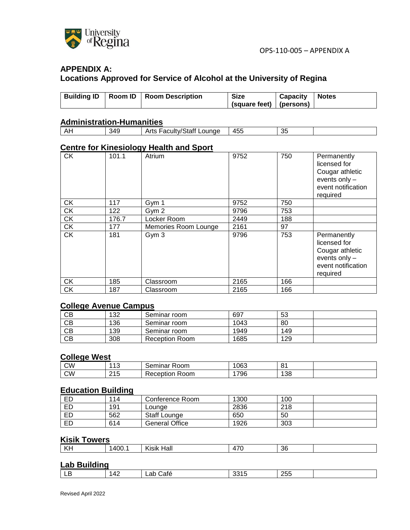

# **APPENDIX A: Locations Approved for Service of Alcohol at the University of Regina**

|  | Building ID   Room ID   Room Description | Size                                    | Capacity   Notes |  |
|--|------------------------------------------|-----------------------------------------|------------------|--|
|  |                                          |                                         |                  |  |
|  |                                          | $\vert$ (square feet) $\vert$ (persons) |                  |  |
|  |                                          |                                         |                  |  |

### **Administration-Humanities**

| 455<br>349<br>$\sim$ $\sim$<br>∟ounge<br>$\Lambda$<br>Loouthy/Statt<br>$n_{\rm r}$<br>--<br>acultv/C<br>ાતાા<br>AILS<br>n.<br>ບເ |  |  |  |
|----------------------------------------------------------------------------------------------------------------------------------|--|--|--|
|                                                                                                                                  |  |  |  |

### **Centre for Kinesiology Health and Sport**

| <b>CK</b> | 101.1 | Atrium               | 9752 | 750 | Permanently<br>licensed for<br>Cougar athletic<br>events only -<br>event notification<br>required |
|-----------|-------|----------------------|------|-----|---------------------------------------------------------------------------------------------------|
| <b>CK</b> | 117   | Gym 1                | 9752 | 750 |                                                                                                   |
| <b>CK</b> | 122   | Gym 2                | 9796 | 753 |                                                                                                   |
| <b>CK</b> | 176.7 | Locker Room          | 2449 | 188 |                                                                                                   |
| <b>CK</b> | 177   | Memories Room Lounge | 2161 | 97  |                                                                                                   |
| <b>CK</b> | 181   | Gym 3                | 9796 | 753 | Permanently<br>licensed for<br>Cougar athletic<br>events only -<br>event notification<br>required |
| <b>CK</b> | 185   | Classroom            | 2165 | 166 |                                                                                                   |
| <b>CK</b> | 187   | Classroom            | 2165 | 166 |                                                                                                   |

### **College Avenue Campus**

| СВ | 132 | Seminar room   | 697  | -53 |  |
|----|-----|----------------|------|-----|--|
| CВ | 136 | Seminar room   | 1043 | 80  |  |
| CВ | 139 | Seminar room   | 1949 | 149 |  |
| CВ | 308 | Reception Room | 1685 | 129 |  |

#### **College West**

| <b>CW</b> | $\overline{A}$<br>ں ا | -<br>$\sim$<br>≺oom<br>∼<br>nınar<br>ווע | 063 | O.<br>ັ |  |
|-----------|-----------------------|------------------------------------------|-----|---------|--|
| <b>CW</b> | $\Omega$<br>. .<br>.  | -<br>-<br>≺eception<br>Room              | 796 | 138     |  |

### **Education Building**

| <b>ED</b> | 114 | Conference Room.      | 1300 | 100 |
|-----------|-----|-----------------------|------|-----|
| ED        | 191 | ∟ounge                | 2836 | 218 |
| ED        | 562 | <b>Staff Lounge</b>   | 650  | 50  |
| ED        | 614 | <b>General Office</b> | 1926 | 303 |

# **Kisik Towers**

| L/L<br>Hall<br>.<br>1400.<br>36<br><br>--<br>Kisik<br>. |
|---------------------------------------------------------|
|---------------------------------------------------------|

# **Lab Building**

| OEE<br>. л.<br>o<br><u>_н</u><br>ait,<br>$\sim$<br>∠ບບ<br>$\sim$<br>◡<br>⊷<br>. . |  |  |  |  |
|-----------------------------------------------------------------------------------|--|--|--|--|
|                                                                                   |  |  |  |  |